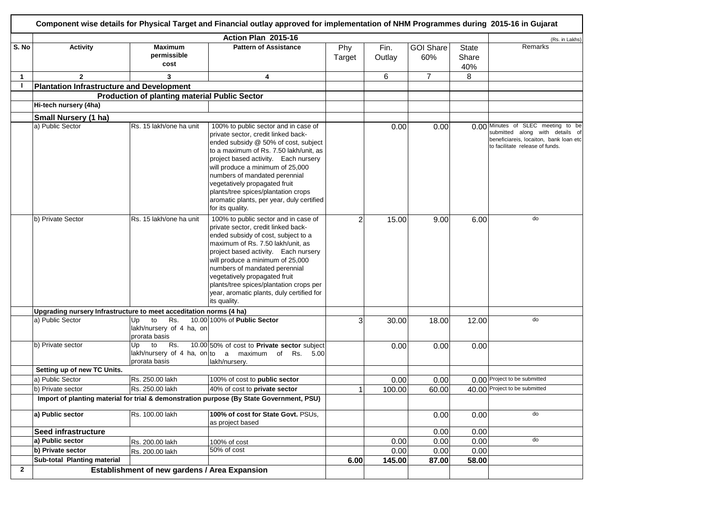|              |                                                                                          | Component wise details for Physical Target and Financial outlay approved for implementation of NHM Programmes during 2015-16 in Gujarat |                                                                                                                                                                                                                                                                                                                                                                                                                     |               |                |                         |                       |                                                                                                                                                    |
|--------------|------------------------------------------------------------------------------------------|-----------------------------------------------------------------------------------------------------------------------------------------|---------------------------------------------------------------------------------------------------------------------------------------------------------------------------------------------------------------------------------------------------------------------------------------------------------------------------------------------------------------------------------------------------------------------|---------------|----------------|-------------------------|-----------------------|----------------------------------------------------------------------------------------------------------------------------------------------------|
|              |                                                                                          |                                                                                                                                         | Action Plan 2015-16                                                                                                                                                                                                                                                                                                                                                                                                 |               |                |                         |                       | (Rs. in Lakhs)                                                                                                                                     |
| S. No        | <b>Activity</b>                                                                          | <b>Maximum</b><br>permissible<br>cost                                                                                                   | <b>Pattern of Assistance</b>                                                                                                                                                                                                                                                                                                                                                                                        | Phy<br>Target | Fin.<br>Outlay | <b>GOI Share</b><br>60% | State<br>Share<br>40% | Remarks                                                                                                                                            |
| $\mathbf{1}$ | $\overline{2}$                                                                           | 3                                                                                                                                       | 4                                                                                                                                                                                                                                                                                                                                                                                                                   |               | 6              | $\overline{7}$          | 8                     |                                                                                                                                                    |
| J.           | <b>Plantation Infrastructure and Development</b>                                         |                                                                                                                                         |                                                                                                                                                                                                                                                                                                                                                                                                                     |               |                |                         |                       |                                                                                                                                                    |
|              |                                                                                          | <b>Production of planting material Public Sector</b>                                                                                    |                                                                                                                                                                                                                                                                                                                                                                                                                     |               |                |                         |                       |                                                                                                                                                    |
|              | Hi-tech nursery (4ha)                                                                    |                                                                                                                                         |                                                                                                                                                                                                                                                                                                                                                                                                                     |               |                |                         |                       |                                                                                                                                                    |
|              | Small Nursery (1 ha)                                                                     |                                                                                                                                         |                                                                                                                                                                                                                                                                                                                                                                                                                     |               |                |                         |                       |                                                                                                                                                    |
|              | a) Public Sector                                                                         | Rs. 15 lakh/one ha unit                                                                                                                 | 100% to public sector and in case of<br>private sector, credit linked back-<br>ended subsidy @ 50% of cost, subject<br>to a maximum of Rs. 7.50 lakh/unit, as<br>project based activity. Each nursery<br>will produce a minimum of 25,000<br>numbers of mandated perennial<br>vegetatively propagated fruit<br>plants/tree spices/plantation crops<br>aromatic plants, per year, duly certified<br>for its quality. |               | 0.00           | 0.00                    |                       | 0.00 Minutes of SLEC meeting to be<br>submitted along with details of<br>beneficiareis, locaiton, bank loan etc<br>to facilitate release of funds. |
|              | b) Private Sector                                                                        | Rs. 15 lakh/one ha unit                                                                                                                 | 100% to public sector and in case of<br>private sector, credit linked back-<br>ended subsidy of cost, subject to a<br>maximum of Rs. 7.50 lakh/unit, as<br>project based activity. Each nursery<br>will produce a minimum of 25,000<br>numbers of mandated perennial<br>vegetatively propagated fruit<br>plants/tree spices/plantation crops per<br>year, aromatic plants, duly certified for<br>its quality.       |               | 15.00          | 9.00                    | 6.00                  | do                                                                                                                                                 |
|              | Upgrading nursery Infrastructure to meet acceditation norms (4 ha)                       |                                                                                                                                         |                                                                                                                                                                                                                                                                                                                                                                                                                     |               |                |                         |                       |                                                                                                                                                    |
|              | a) Public Sector                                                                         | to<br>Rs.<br>Up<br>lakh/nursery of 4 ha, on<br>prorata basis                                                                            | 10.00 100% of Public Sector                                                                                                                                                                                                                                                                                                                                                                                         |               | 30.00          | 18.00                   | 12.00                 | do                                                                                                                                                 |
|              | b) Private sector                                                                        | to<br>Rs.<br>Up<br>prorata basis                                                                                                        | 10.00 50% of cost to Private sector subject<br>lakh/nursery of 4 ha, on to a maximum of Rs. $5.00$<br>lakh/nursery.                                                                                                                                                                                                                                                                                                 |               | 0.00           | 0.00                    | 0.00                  |                                                                                                                                                    |
|              | Setting up of new TC Units.                                                              |                                                                                                                                         |                                                                                                                                                                                                                                                                                                                                                                                                                     |               |                |                         |                       |                                                                                                                                                    |
|              | a) Public Sector                                                                         | Rs. 250.00 lakh                                                                                                                         | 100% of cost to public sector                                                                                                                                                                                                                                                                                                                                                                                       |               | 0.00           | 0.00                    |                       | 0.00 Project to be submitted                                                                                                                       |
|              | b) Private sector                                                                        | Rs. 250.00 lakh                                                                                                                         | 40% of cost to private sector                                                                                                                                                                                                                                                                                                                                                                                       |               | 100.00         | 60.00                   |                       | 40.00 Project to be submitted                                                                                                                      |
|              | Import of planting material for trial & demonstration purpose (By State Government, PSU) |                                                                                                                                         |                                                                                                                                                                                                                                                                                                                                                                                                                     |               |                |                         |                       |                                                                                                                                                    |
|              | a) Public sector                                                                         | Rs. 100.00 lakh                                                                                                                         | 100% of cost for State Govt. PSUs,<br>as project based                                                                                                                                                                                                                                                                                                                                                              |               |                | 0.00                    | 0.00                  | do                                                                                                                                                 |
|              | Seed infrastructure                                                                      |                                                                                                                                         |                                                                                                                                                                                                                                                                                                                                                                                                                     |               |                | 0.00                    | 0.00                  |                                                                                                                                                    |
|              | a) Public sector                                                                         | Rs. 200.00 lakh                                                                                                                         | 100% of cost                                                                                                                                                                                                                                                                                                                                                                                                        |               | 0.00           | 0.00                    | 0.00                  | do                                                                                                                                                 |
|              | b) Private sector                                                                        | Rs. 200.00 lakh                                                                                                                         | 50% of cost                                                                                                                                                                                                                                                                                                                                                                                                         |               | 0.00           | 0.00                    | 0.00                  |                                                                                                                                                    |
|              | Sub-total Planting material                                                              |                                                                                                                                         |                                                                                                                                                                                                                                                                                                                                                                                                                     | 6.00          | 145.00         | 87.00                   | 58.00                 |                                                                                                                                                    |
| $\mathbf{2}$ |                                                                                          | Establishment of new gardens / Area Expansion                                                                                           |                                                                                                                                                                                                                                                                                                                                                                                                                     |               |                |                         |                       |                                                                                                                                                    |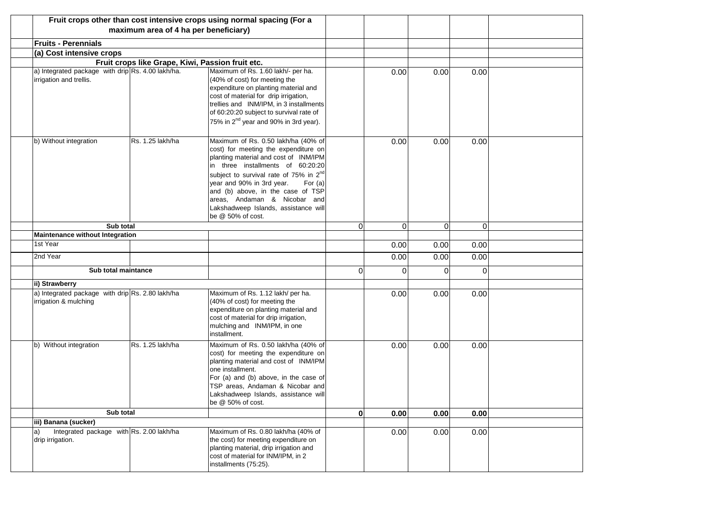|                                                                              |                                                  | Fruit crops other than cost intensive crops using normal spacing (For a                                                                                                                                                                                                                                                                                                                     |                |          |          |          |  |
|------------------------------------------------------------------------------|--------------------------------------------------|---------------------------------------------------------------------------------------------------------------------------------------------------------------------------------------------------------------------------------------------------------------------------------------------------------------------------------------------------------------------------------------------|----------------|----------|----------|----------|--|
|                                                                              | maximum area of 4 ha per beneficiary)            |                                                                                                                                                                                                                                                                                                                                                                                             |                |          |          |          |  |
| <b>Fruits - Perennials</b>                                                   |                                                  |                                                                                                                                                                                                                                                                                                                                                                                             |                |          |          |          |  |
| (a) Cost intensive crops                                                     |                                                  |                                                                                                                                                                                                                                                                                                                                                                                             |                |          |          |          |  |
|                                                                              | Fruit crops like Grape, Kiwi, Passion fruit etc. |                                                                                                                                                                                                                                                                                                                                                                                             |                |          |          |          |  |
| a) Integrated package with drip Rs. 4.00 lakh/ha.<br>irrigation and trellis. |                                                  | Maximum of Rs. 1.60 lakh/- per ha.<br>(40% of cost) for meeting the<br>expenditure on planting material and<br>cost of material for drip irrigation,<br>trellies and INM/IPM, in 3 installments<br>of 60:20:20 subject to survival rate of<br>75% in 2 <sup>nd</sup> year and 90% in 3rd year).                                                                                             |                | 0.00     | 0.00     | 0.00     |  |
| b) Without integration                                                       | Rs. 1.25 lakh/ha                                 | Maximum of Rs. 0.50 lakh/ha (40% of<br>cost) for meeting the expenditure on<br>planting material and cost of INM/IPM<br>in three installments of 60:20:20<br>subject to survival rate of 75% in 2 <sup>nd</sup><br>year and 90% in 3rd year.<br>For $(a)$<br>and (b) above, in the case of TSP<br>areas, Andaman & Nicobar and<br>Lakshadweep Islands, assistance will<br>be @ 50% of cost. |                | 0.00     | 0.00     | 0.00     |  |
| Sub total                                                                    |                                                  |                                                                                                                                                                                                                                                                                                                                                                                             | $\overline{0}$ | $\Omega$ | $\Omega$ | $\Omega$ |  |
| <b>Maintenance without Integration</b>                                       |                                                  |                                                                                                                                                                                                                                                                                                                                                                                             |                |          |          |          |  |
| 1st Year                                                                     |                                                  |                                                                                                                                                                                                                                                                                                                                                                                             |                | 0.00     | 0.00     | 0.00     |  |
| 2nd Year                                                                     |                                                  |                                                                                                                                                                                                                                                                                                                                                                                             |                | 0.00     | 0.00     | 0.00     |  |
| Sub total maintance                                                          |                                                  |                                                                                                                                                                                                                                                                                                                                                                                             | 0              | 0        | 0        | $\Omega$ |  |
| ii) Strawberry                                                               |                                                  |                                                                                                                                                                                                                                                                                                                                                                                             |                |          |          |          |  |
| a) Integrated package with drip Rs. 2.80 lakh/ha<br>irrigation & mulching    |                                                  | Maximum of Rs. 1.12 lakh/ per ha.<br>(40% of cost) for meeting the<br>expenditure on planting material and<br>cost of material for drip irrigation,<br>mulching and INM/IPM, in one<br>installment.                                                                                                                                                                                         |                | 0.00     | 0.00     | 0.00     |  |
| b) Without integration                                                       | Rs. 1.25 lakh/ha                                 | Maximum of Rs. 0.50 lakh/ha (40% of<br>cost) for meeting the expenditure on<br>planting material and cost of INM/IPM<br>one installment.<br>For (a) and (b) above, in the case of<br>TSP areas, Andaman & Nicobar and<br>Lakshadweep Islands, assistance will<br>be @ 50% of cost.                                                                                                          |                | 0.00     | 0.00     | 0.00     |  |
|                                                                              | Sub total                                        |                                                                                                                                                                                                                                                                                                                                                                                             |                | 0.00     | 0.00     | 0.00     |  |
| iii) Banana (sucker)                                                         |                                                  |                                                                                                                                                                                                                                                                                                                                                                                             |                |          |          |          |  |
| Integrated package with Rs. 2.00 lakh/ha<br>a)<br>drip irrigation.           |                                                  | Maximum of Rs. 0.80 lakh/ha (40% of<br>the cost) for meeting expenditure on<br>planting material, drip irrigation and<br>cost of material for INM/IPM, in 2<br>installments (75:25).                                                                                                                                                                                                        |                | 0.00     | 0.00     | 0.00     |  |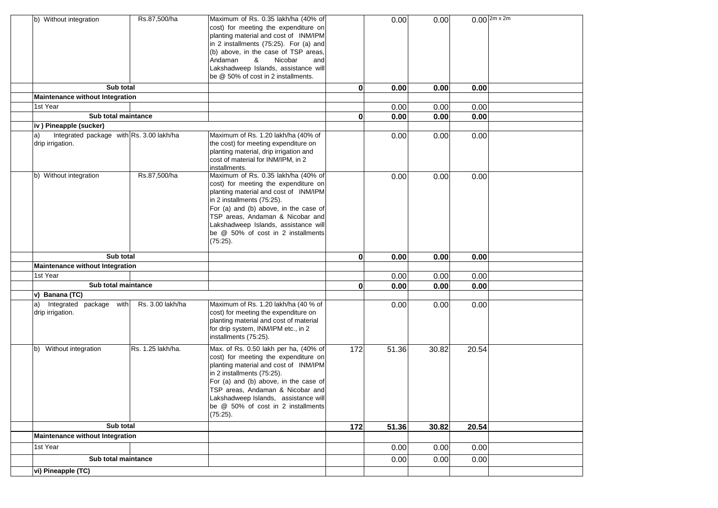| b) Without integration                                             | Rs.87,500/ha      | Maximum of Rs. 0.35 lakh/ha (40% of<br>cost) for meeting the expenditure on<br>planting material and cost of INM/IPM<br>in 2 installments (75:25). For (a) and<br>(b) above, in the case of TSP areas,<br>Andaman<br>&<br>Nicobar<br>and<br>Lakshadweep Islands, assistance will<br>be @ 50% of cost in 2 installments.      |              | 0.00  | 0.00  |       | $0.00$ $2m \times 2m$ |
|--------------------------------------------------------------------|-------------------|------------------------------------------------------------------------------------------------------------------------------------------------------------------------------------------------------------------------------------------------------------------------------------------------------------------------------|--------------|-------|-------|-------|-----------------------|
| Sub total                                                          |                   |                                                                                                                                                                                                                                                                                                                              | $\bf{0}$     | 0.00  | 0.00  | 0.00  |                       |
| Maintenance without Integration                                    |                   |                                                                                                                                                                                                                                                                                                                              |              |       |       |       |                       |
| 1st Year                                                           |                   |                                                                                                                                                                                                                                                                                                                              |              | 0.00  | 0.00  | 0.00  |                       |
| Sub total maintance                                                |                   |                                                                                                                                                                                                                                                                                                                              | $\mathbf{0}$ | 0.00  | 0.00  | 0.00  |                       |
| iv) Pineapple (sucker)                                             |                   |                                                                                                                                                                                                                                                                                                                              |              |       |       |       |                       |
| Integrated package with Rs. 3.00 lakh/ha<br>a)<br>drip irrigation. |                   | Maximum of Rs. 1.20 lakh/ha (40% of<br>the cost) for meeting expenditure on<br>planting material, drip irrigation and<br>cost of material for INM/IPM, in 2<br>installments.                                                                                                                                                 |              | 0.00  | 0.00  | 0.00  |                       |
| b) Without integration                                             | Rs.87,500/ha      | Maximum of Rs. 0.35 lakh/ha (40% of<br>cost) for meeting the expenditure on<br>planting material and cost of INM/IPM<br>in 2 installments (75:25).<br>For (a) and (b) above, in the case of<br>TSP areas, Andaman & Nicobar and<br>Lakshadweep Islands, assistance will<br>be @ 50% of cost in 2 installments<br>$(75:25)$ . |              | 0.00  | 0.00  | 0.00  |                       |
| Sub total                                                          |                   |                                                                                                                                                                                                                                                                                                                              | $\bf{0}$     | 0.00  | 0.00  | 0.00  |                       |
| Maintenance without Integration                                    |                   |                                                                                                                                                                                                                                                                                                                              |              |       |       |       |                       |
| 1st Year                                                           |                   |                                                                                                                                                                                                                                                                                                                              |              | 0.00  | 0.00  | 0.00  |                       |
| Sub total maintance                                                |                   |                                                                                                                                                                                                                                                                                                                              | $\mathbf 0$  | 0.00  | 0.00  | 0.00  |                       |
| v) Banana (TC)                                                     |                   |                                                                                                                                                                                                                                                                                                                              |              |       |       |       |                       |
| Integrated package with<br>a)<br>drip irrigation.                  | Rs. 3.00 lakh/ha  | Maximum of Rs. 1.20 lakh/ha (40 % of<br>cost) for meeting the expenditure on<br>planting material and cost of material<br>for drip system, INM/IPM etc., in 2<br>installments (75:25).                                                                                                                                       |              | 0.00  | 0.00  | 0.00  |                       |
| b) Without integration                                             | Rs. 1.25 lakh/ha. | Max. of Rs. 0.50 lakh per ha, (40% of<br>cost) for meeting the expenditure on<br>planting material and cost of INM/IPM<br>in 2 installments (75:25).<br>For (a) and (b) above, in the case of<br>TSP areas, Andaman & Nicobar and<br>Lakshadweep Islands, assistance will<br>be @ 50% of cost in 2 installments<br>(75:25).  | 172          | 51.36 | 30.82 | 20.54 |                       |
| Sub total                                                          |                   |                                                                                                                                                                                                                                                                                                                              | 172          | 51.36 | 30.82 | 20.54 |                       |
| <b>Maintenance without Integration</b>                             |                   |                                                                                                                                                                                                                                                                                                                              |              |       |       |       |                       |
| 1st Year                                                           |                   |                                                                                                                                                                                                                                                                                                                              |              | 0.00  | 0.00  | 0.00  |                       |
| Sub total maintance                                                |                   |                                                                                                                                                                                                                                                                                                                              |              | 0.00  | 0.00  | 0.00  |                       |
|                                                                    |                   |                                                                                                                                                                                                                                                                                                                              |              |       |       |       |                       |
| vi) Pineapple (TC)                                                 |                   |                                                                                                                                                                                                                                                                                                                              |              |       |       |       |                       |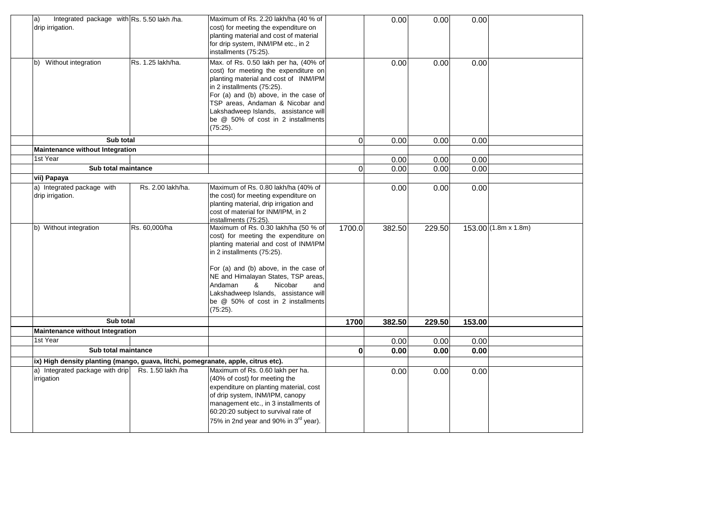| Integrated package with Rs. 5.50 lakh /ha.<br>a)<br>drip irrigation.<br>b) Without integration | Rs. 1.25 lakh/ha. | Maximum of Rs. 2.20 lakh/ha (40 % of<br>cost) for meeting the expenditure on<br>planting material and cost of material<br>for drip system, INM/IPM etc., in 2<br>installments (75:25).<br>Max. of Rs. 0.50 lakh per ha, (40% of<br>cost) for meeting the expenditure on<br>planting material and cost of INM/IPM                                    |          | 0.00<br>0.00 | 0.00<br>0.00 | 0.00<br>0.00 |                            |
|------------------------------------------------------------------------------------------------|-------------------|-----------------------------------------------------------------------------------------------------------------------------------------------------------------------------------------------------------------------------------------------------------------------------------------------------------------------------------------------------|----------|--------------|--------------|--------------|----------------------------|
|                                                                                                |                   | in 2 installments (75:25).<br>For (a) and (b) above, in the case of<br>TSP areas, Andaman & Nicobar and<br>Lakshadweep Islands, assistance will<br>be @ 50% of cost in 2 installments<br>(75:25).                                                                                                                                                   |          |              |              |              |                            |
| Sub total                                                                                      |                   |                                                                                                                                                                                                                                                                                                                                                     | $\Omega$ | 0.00         | 0.00         | 0.00         |                            |
| Maintenance without Integration                                                                |                   |                                                                                                                                                                                                                                                                                                                                                     |          |              |              |              |                            |
| 1st Year                                                                                       |                   |                                                                                                                                                                                                                                                                                                                                                     |          | 0.00         | 0.00         | 0.00         |                            |
| Sub total maintance                                                                            |                   |                                                                                                                                                                                                                                                                                                                                                     | $\Omega$ | 0.00         | 0.00         | 0.00         |                            |
| vii) Papaya                                                                                    |                   |                                                                                                                                                                                                                                                                                                                                                     |          |              |              |              |                            |
| a) Integrated package with<br>drip irrigation.                                                 | Rs. 2.00 lakh/ha. | Maximum of Rs. 0.80 lakh/ha (40% of<br>the cost) for meeting expenditure on<br>planting material, drip irrigation and<br>cost of material for INM/IPM, in 2<br>installments (75:25).                                                                                                                                                                |          | 0.00         | 0.00         | 0.00         |                            |
| b) Without integration                                                                         | Rs. 60,000/ha     | Maximum of Rs. 0.30 lakh/ha (50 % of<br>cost) for meeting the expenditure on<br>planting material and cost of INM/IPM<br>in 2 installments (75:25).<br>For (a) and (b) above, in the case of<br>NE and Himalayan States, TSP areas,<br>&<br>Nicobar<br>Andaman<br>and<br>Lakshadweep Islands, assistance will<br>be @ 50% of cost in 2 installments | 1700.0   | 382.50       | 229.50       |              | $153.00(1.8m \times 1.8m)$ |
|                                                                                                |                   | (75:25).                                                                                                                                                                                                                                                                                                                                            |          |              |              |              |                            |
| Sub total                                                                                      |                   |                                                                                                                                                                                                                                                                                                                                                     | 1700     | 382.50       | 229.50       | 153.00       |                            |
| <b>Maintenance without Integration</b>                                                         |                   |                                                                                                                                                                                                                                                                                                                                                     |          |              |              |              |                            |
| 1st Year<br>Sub total maintance                                                                |                   |                                                                                                                                                                                                                                                                                                                                                     |          | 0.00         | 0.00         | 0.00         |                            |
|                                                                                                |                   |                                                                                                                                                                                                                                                                                                                                                     | 0        | 0.00         | 0.00         | 0.00         |                            |
| ix) High density planting (mango, guava, litchi, pomegranate, apple, citrus etc).              |                   |                                                                                                                                                                                                                                                                                                                                                     |          |              |              |              |                            |
| a) Integrated package with drip<br>irrigation                                                  | Rs. 1.50 lakh /ha | Maximum of Rs. 0.60 lakh per ha.<br>(40% of cost) for meeting the<br>expenditure on planting material, cost<br>of drip system, INM/IPM, canopy<br>management etc., in 3 installments of<br>60:20:20 subject to survival rate of<br>75% in 2nd year and 90% in 3 <sup>rd</sup> year).                                                                |          | 0.00         | 0.00         | 0.00         |                            |
|                                                                                                |                   |                                                                                                                                                                                                                                                                                                                                                     |          |              |              |              |                            |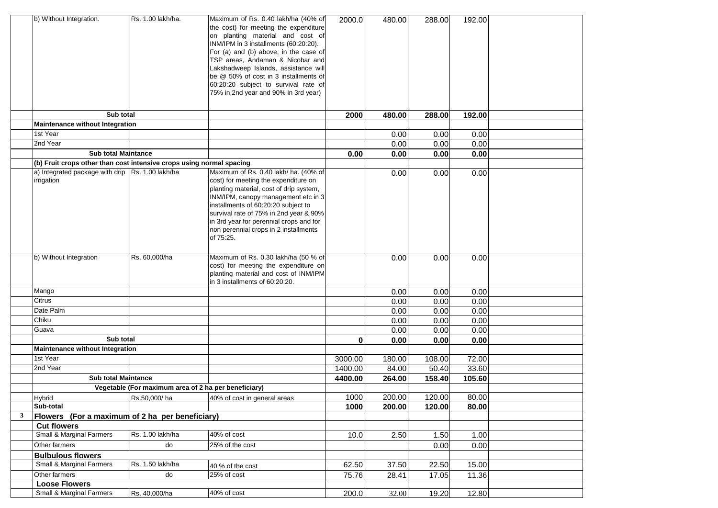|              | b) Without Integration.                                              | Rs. 1.00 lakh/ha.                                    | Maximum of Rs. 0.40 lakh/ha (40% of                                           | 2000.0       | 480.00 | 288.00 | 192.00 |  |
|--------------|----------------------------------------------------------------------|------------------------------------------------------|-------------------------------------------------------------------------------|--------------|--------|--------|--------|--|
|              |                                                                      |                                                      | the cost) for meeting the expenditure                                         |              |        |        |        |  |
|              |                                                                      |                                                      | on planting material and cost of                                              |              |        |        |        |  |
|              |                                                                      |                                                      | INM/IPM in 3 installments (60:20:20).                                         |              |        |        |        |  |
|              |                                                                      |                                                      | For (a) and (b) above, in the case of                                         |              |        |        |        |  |
|              |                                                                      |                                                      | TSP areas, Andaman & Nicobar and                                              |              |        |        |        |  |
|              |                                                                      |                                                      | Lakshadweep Islands, assistance will                                          |              |        |        |        |  |
|              |                                                                      |                                                      | be @ 50% of cost in 3 installments of<br>60:20:20 subject to survival rate of |              |        |        |        |  |
|              |                                                                      |                                                      | 75% in 2nd year and 90% in 3rd year)                                          |              |        |        |        |  |
|              |                                                                      |                                                      |                                                                               |              |        |        |        |  |
|              |                                                                      |                                                      |                                                                               |              |        |        |        |  |
|              | Sub total                                                            |                                                      |                                                                               | 2000         | 480.00 | 288.00 | 192.00 |  |
|              | Maintenance without Integration                                      |                                                      |                                                                               |              |        |        |        |  |
|              | 1st Year                                                             |                                                      |                                                                               |              | 0.00   | 0.00   | 0.00   |  |
|              | 2nd Year                                                             |                                                      |                                                                               |              | 0.00   | 0.00   | 0.00   |  |
|              | <b>Sub total Maintance</b>                                           |                                                      |                                                                               | 0.00         | 0.00   | 0.00   | 0.00   |  |
|              | (b) Fruit crops other than cost intensive crops using normal spacing |                                                      |                                                                               |              |        |        |        |  |
|              | a) Integrated package with drip Rs. 1.00 lakh/ha                     |                                                      | Maximum of Rs. 0.40 lakh/ ha. (40% of                                         |              | 0.00   | 0.00   | 0.00   |  |
|              | irrigation                                                           |                                                      | cost) for meeting the expenditure on                                          |              |        |        |        |  |
|              |                                                                      |                                                      | planting material, cost of drip system,                                       |              |        |        |        |  |
|              |                                                                      |                                                      | INM/IPM, canopy management etc in 3                                           |              |        |        |        |  |
|              |                                                                      |                                                      | installments of 60:20:20 subject to                                           |              |        |        |        |  |
|              |                                                                      |                                                      | survival rate of 75% in 2nd year & 90%                                        |              |        |        |        |  |
|              |                                                                      |                                                      | in 3rd year for perennial crops and for                                       |              |        |        |        |  |
|              |                                                                      |                                                      | non perennial crops in 2 installments                                         |              |        |        |        |  |
|              |                                                                      |                                                      | of 75:25.                                                                     |              |        |        |        |  |
|              |                                                                      |                                                      |                                                                               |              |        |        |        |  |
|              | b) Without Integration                                               | Rs. 60,000/ha                                        | Maximum of Rs. 0.30 lakh/ha (50 % of                                          |              | 0.00   | 0.00   | 0.00   |  |
|              |                                                                      |                                                      | cost) for meeting the expenditure on                                          |              |        |        |        |  |
|              |                                                                      |                                                      | planting material and cost of INM/IPM                                         |              |        |        |        |  |
|              |                                                                      |                                                      | in 3 installments of 60:20:20.                                                |              |        |        |        |  |
|              | Mango                                                                |                                                      |                                                                               |              | 0.00   | 0.00   | 0.00   |  |
|              | Citrus                                                               |                                                      |                                                                               |              | 0.00   | 0.00   | 0.00   |  |
|              | Date Palm                                                            |                                                      |                                                                               |              | 0.00   | 0.00   | 0.00   |  |
|              | Chiku                                                                |                                                      |                                                                               |              | 0.00   | 0.00   | 0.00   |  |
|              | Guava                                                                |                                                      |                                                                               |              | 0.00   | 0.00   | 0.00   |  |
|              | Sub total                                                            |                                                      |                                                                               | $\mathbf{0}$ | 0.00   | 0.00   | 0.00   |  |
|              | Maintenance without Integration                                      |                                                      |                                                                               |              |        |        |        |  |
|              | 1st Year                                                             |                                                      |                                                                               | 3000.00      | 180.00 | 108.00 | 72.00  |  |
|              | 2nd Year                                                             |                                                      |                                                                               | 1400.00      | 84.00  | 50.40  | 33.60  |  |
|              | <b>Sub total Maintance</b>                                           |                                                      |                                                                               | 4400.00      | 264.00 | 158.40 | 105.60 |  |
|              |                                                                      | Vegetable (For maximum area of 2 ha per beneficiary) |                                                                               |              |        |        |        |  |
|              | <b>Hybrid</b>                                                        |                                                      | Rs.50,000/ha 40% of cost in general areas                                     | 1000         | 200.00 | 120.00 | 80.00  |  |
|              | Sub-total                                                            |                                                      |                                                                               | 1000         | 200.00 | 120.00 | 80.00  |  |
| $\mathbf{3}$ | Flowers (For a maximum of 2 ha per beneficiary)                      |                                                      |                                                                               |              |        |        |        |  |
|              | <b>Cut flowers</b>                                                   |                                                      |                                                                               |              |        |        |        |  |
|              | <b>Small &amp; Marginal Farmers</b>                                  | Rs. 1.00 lakh/ha                                     | 40% of cost                                                                   | 10.0         | 2.50   | 1.50   | 1.00   |  |
|              | Other farmers                                                        | do                                                   | 25% of the cost                                                               |              |        | 0.00   | 0.00   |  |
|              | <b>Bulbulous flowers</b>                                             |                                                      |                                                                               |              |        |        |        |  |
|              | Small & Marginal Farmers                                             | Rs. 1.50 lakh/ha                                     | 40 % of the cost                                                              | 62.50        | 37.50  | 22.50  | 15.00  |  |
|              | Other farmers                                                        | do                                                   | 25% of cost                                                                   | 75.76        | 28.41  | 17.05  | 11.36  |  |
|              | <b>Loose Flowers</b>                                                 |                                                      |                                                                               |              |        |        |        |  |
|              | <b>Small &amp; Marginal Farmers</b>                                  | Rs. 40,000/ha                                        | 40% of cost                                                                   | 200.0        | 32.00  | 19.20  | 12.80  |  |
|              |                                                                      |                                                      |                                                                               |              |        |        |        |  |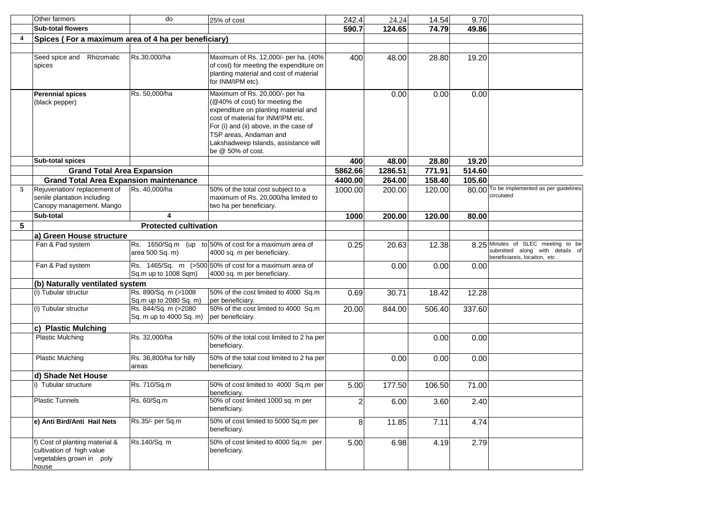|                | Other farmers                                                                                    | do                                              | 25% of cost                                                                                                                                                                                                                                                                    | 242.4          | 24.24   | 14.54  | 9.70   |                                                                                                   |
|----------------|--------------------------------------------------------------------------------------------------|-------------------------------------------------|--------------------------------------------------------------------------------------------------------------------------------------------------------------------------------------------------------------------------------------------------------------------------------|----------------|---------|--------|--------|---------------------------------------------------------------------------------------------------|
|                | <b>Sub-total flowers</b>                                                                         |                                                 |                                                                                                                                                                                                                                                                                | 590.7          | 124.65  | 74.79  | 49.86  |                                                                                                   |
| $\overline{4}$ | Spices (For a maximum area of 4 ha per beneficiary)                                              |                                                 |                                                                                                                                                                                                                                                                                |                |         |        |        |                                                                                                   |
|                |                                                                                                  |                                                 |                                                                                                                                                                                                                                                                                |                |         |        |        |                                                                                                   |
|                | Rhizomatic<br>Seed spice and<br>spices                                                           | Rs.30,000/ha                                    | Maximum of Rs. 12,000/- per ha. (40%<br>of cost) for meeting the expenditure on<br>planting material and cost of material<br>for INM/IPM etc).                                                                                                                                 | 400            | 48.00   | 28.80  | 19.20  |                                                                                                   |
|                | <b>Perennial spices</b><br>(black pepper)                                                        | Rs. 50,000/ha                                   | Maximum of Rs. 20,000/- per ha<br>(@40% of cost) for meeting the<br>expenditure on planting material and<br>cost of material for INM/IPM etc.<br>For (i) and (ii) above, in the case of<br>TSP areas, Andaman and<br>Lakshadweep Islands, assistance will<br>be @ 50% of cost. |                | 0.00    | 0.00   | 0.00   |                                                                                                   |
|                | Sub-total spices                                                                                 |                                                 |                                                                                                                                                                                                                                                                                | 400            | 48.00   | 28.80  | 19.20  |                                                                                                   |
|                | <b>Grand Total Area Expansion</b>                                                                |                                                 |                                                                                                                                                                                                                                                                                | 5862.66        | 1286.51 | 771.91 | 514.60 |                                                                                                   |
|                | <b>Grand Total Area Expansion maintenance</b>                                                    |                                                 |                                                                                                                                                                                                                                                                                | 4400.00        | 264.00  | 158.40 | 105.60 |                                                                                                   |
| 5              | Rejuvenation/replacement of<br>senile plantation including<br>Canopy management. Mango           | Rs. 40,000/ha                                   | 50% of the total cost subject to a<br>maximum of Rs. 20,000/ha limited to<br>two ha per beneficiary.                                                                                                                                                                           | 1000.00        | 200.00  | 120.00 |        | 80.00 To be implemented as per guidelines<br>circulated                                           |
|                | Sub-total                                                                                        | 4                                               |                                                                                                                                                                                                                                                                                | 1000           | 200.00  | 120.00 | 80.00  |                                                                                                   |
| 5              |                                                                                                  | <b>Protected cultivation</b>                    |                                                                                                                                                                                                                                                                                |                |         |        |        |                                                                                                   |
|                | ∣a) Green House structure                                                                        |                                                 |                                                                                                                                                                                                                                                                                |                |         |        |        |                                                                                                   |
|                | Fan & Pad system                                                                                 | Rs. 1650/Sq.m<br>(up<br>area 500 Sq. m)         | to 50% of cost for a maximum area of<br>4000 sq. m per beneficiary.                                                                                                                                                                                                            | 0.25           | 20.63   | 12.38  | 8.25   | Minutes of SLEC meeting to be<br>submitted along with details of<br>beneficiareis, locaiton, etc. |
|                | Fan & Pad system                                                                                 | Sq.m up to 1008 Sqm)                            | Rs. 1465/Sq. m (>500 50% of cost for a maximum area of<br>4000 sq. m per beneficiary.                                                                                                                                                                                          |                | 0.00    | 0.00   | 0.00   |                                                                                                   |
|                | (b) Naturally ventilated system                                                                  |                                                 |                                                                                                                                                                                                                                                                                |                |         |        |        |                                                                                                   |
|                | (i) Tubular structur                                                                             | Rs. 890/Sq. m (>1008<br>Sq.m up to 2080 Sq. m)  | 50% of the cost limited to 4000 Sq.m<br>per beneficiary.                                                                                                                                                                                                                       | 0.69           | 30.71   | 18.42  | 12.28  |                                                                                                   |
|                | (i) Tubular structur                                                                             | Rs. 844/Sq. m (>2080<br>Sq. m up to 4000 Sq. m) | 50% of the cost limited to 4000 Sq.m<br>per beneficiary.                                                                                                                                                                                                                       | 20.00          | 844.00  | 506.40 | 337.60 |                                                                                                   |
|                | c) Plastic Mulching                                                                              |                                                 |                                                                                                                                                                                                                                                                                |                |         |        |        |                                                                                                   |
|                | <b>Plastic Mulching</b>                                                                          | Rs. 32,000/ha                                   | 50% of the total cost limited to 2 ha per<br>beneficiary.                                                                                                                                                                                                                      |                |         | 0.00   | 0.00   |                                                                                                   |
|                | <b>Plastic Mulching</b>                                                                          | Rs. 36,800/ha for hilly<br>areas                | 50% of the total cost limited to 2 ha per<br>beneficiarv.                                                                                                                                                                                                                      |                | 0.00    | 0.00   | 0.00   |                                                                                                   |
|                | d) Shade Net House                                                                               |                                                 |                                                                                                                                                                                                                                                                                |                |         |        |        |                                                                                                   |
|                | i) Tubular structure                                                                             | Rs. 710/Sq.m                                    | 50% of cost limited to 4000 Sq.m per<br>beneficiary.                                                                                                                                                                                                                           | 5.00           | 177.50  | 106.50 | 71.00  |                                                                                                   |
|                | <b>Plastic Tunnels</b>                                                                           | Rs. 60/Sq.m                                     | 50% of cost limited 1000 sq. m per<br>beneficiary.                                                                                                                                                                                                                             | $\overline{2}$ | 6.00    | 3.60   | 2.40   |                                                                                                   |
|                | e) Anti Bird/Anti Hail Nets                                                                      | Rs.35/- per Sq.m                                | 50% of cost limited to 5000 Sq.m per<br>beneficiary.                                                                                                                                                                                                                           | 8              | 11.85   | 7.11   | 4.74   |                                                                                                   |
|                | f) Cost of planting material &<br>cultivation of high value<br>vegetables grown in poly<br>house | Rs.140/Sq. m                                    | 50% of cost limited to 4000 Sq.m per<br>beneficiary.                                                                                                                                                                                                                           | 5.00           | 6.98    | 4.19   | 2.79   |                                                                                                   |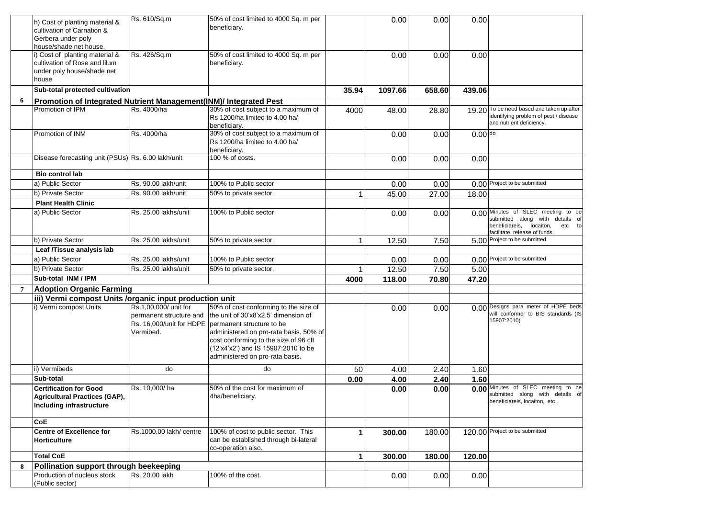|                | h) Cost of planting material &<br>cultivation of Carnation &      | Rs. 610/Sq.m            | 50% of cost limited to 4000 Sq. m per<br>beneficiary. |       | 0.00    | 0.00   | 0.00      |                                                                    |
|----------------|-------------------------------------------------------------------|-------------------------|-------------------------------------------------------|-------|---------|--------|-----------|--------------------------------------------------------------------|
|                | Gerbera under poly                                                |                         |                                                       |       |         |        |           |                                                                    |
|                | house/shade net house.                                            |                         |                                                       |       |         |        |           |                                                                    |
|                | i) Cost of planting material &                                    | Rs. 426/Sq.m            | 50% of cost limited to 4000 Sq. m per                 |       | 0.00    | 0.00   | 0.00      |                                                                    |
|                | cultivation of Rose and lilum                                     |                         | beneficiary.                                          |       |         |        |           |                                                                    |
|                | under poly house/shade net                                        |                         |                                                       |       |         |        |           |                                                                    |
|                | house                                                             |                         |                                                       |       |         |        |           |                                                                    |
|                | Sub-total protected cultivation                                   |                         |                                                       | 35.94 | 1097.66 | 658.60 | 439.06    |                                                                    |
| 6              | Promotion of Integrated Nutrient Management(INM)/ Integrated Pest |                         |                                                       |       |         |        |           |                                                                    |
|                | Promotion of IPM                                                  | Rs. 4000/ha             | 30% of cost subject to a maximum of                   | 4000  | 48.00   | 28.80  | 19.20     | To be need based and taken up after                                |
|                |                                                                   |                         | Rs 1200/ha limited to 4.00 ha/                        |       |         |        |           | identifying problem of pest / disease                              |
|                |                                                                   |                         | beneficiary.                                          |       |         |        |           | and nutrient deficiency.                                           |
|                | Promotion of INM                                                  | Rs. 4000/ha             | 30% of cost subject to a maximum of                   |       | 0.00    | 0.00   | $0.00$ do |                                                                    |
|                |                                                                   |                         | Rs 1200/ha limited to 4.00 ha/                        |       |         |        |           |                                                                    |
|                |                                                                   |                         | beneficiary.                                          |       |         |        |           |                                                                    |
|                | Disease forecasting unit (PSUs) Rs. 6.00 lakh/unit                |                         | 100 % of costs.                                       |       | 0.00    | 0.00   | 0.00      |                                                                    |
|                |                                                                   |                         |                                                       |       |         |        |           |                                                                    |
|                | Bio control lab                                                   |                         |                                                       |       |         |        |           |                                                                    |
|                | a) Public Sector                                                  | Rs. 90.00 lakh/unit     | 100% to Public sector                                 |       | 0.00    | 0.00   |           | 0.00 Project to be submitted                                       |
|                | b) Private Sector                                                 | Rs. 90.00 lakh/unit     | 50% to private sector.                                |       | 45.00   | 27.00  | 18.00     |                                                                    |
|                | <b>Plant Health Clinic</b>                                        |                         |                                                       |       |         |        |           |                                                                    |
|                | a) Public Sector                                                  | Rs. 25.00 lakhs/unit    | 100% to Public sector                                 |       | 0.00    | 0.00   |           | 0.00 Minutes of SLEC meeting to be                                 |
|                |                                                                   |                         |                                                       |       |         |        |           | submitted along with details of                                    |
|                |                                                                   |                         |                                                       |       |         |        |           | beneficiareis, locaiton,<br>etc to<br>facilitate release of funds. |
|                | b) Private Sector                                                 | Rs. 25.00 lakhs/unit    | 50% to private sector.                                |       | 12.50   | 7.50   |           | 5.00 Project to be submitted                                       |
|                | Leaf /Tissue analysis lab                                         |                         |                                                       |       |         |        |           |                                                                    |
|                | a) Public Sector                                                  | Rs. 25.00 lakhs/unit    | 100% to Public sector                                 |       |         |        |           | 0.00 Project to be submitted                                       |
|                |                                                                   | Rs. 25.00 lakhs/unit    |                                                       |       | 0.00    | 0.00   |           |                                                                    |
|                | b) Private Sector                                                 |                         | 50% to private sector.                                |       | 12.50   | 7.50   | 5.00      |                                                                    |
|                | Sub-total INM / IPM                                               |                         |                                                       | 4000  | 118.00  | 70.80  | 47.20     |                                                                    |
| $\overline{7}$ | <b>Adoption Organic Farming</b>                                   |                         |                                                       |       |         |        |           |                                                                    |
|                | iii) Vermi compost Units /organic input production unit           |                         |                                                       |       |         |        |           |                                                                    |
|                | i) Vermi compost Units                                            | Rs.1,00,000/ unit for   | 50% of cost conforming to the size of                 |       | 0.00    | 0.00   |           | 0.00 Designs para meter of HDPE beds                               |
|                |                                                                   | permanent structure and | the unit of 30'x8'x2.5' dimension of                  |       |         |        |           | will conformer to BIS standards (IS<br>15907:2010)                 |
|                |                                                                   |                         | Rs. 16,000/unit for HDPE permanent structure to be    |       |         |        |           |                                                                    |
|                |                                                                   | Vermibed.               | administered on pro-rata basis. 50% of                |       |         |        |           |                                                                    |
|                |                                                                   |                         | cost conforming to the size of 96 cft                 |       |         |        |           |                                                                    |
|                |                                                                   |                         | (12'x4'x2') and IS 15907:2010 to be                   |       |         |        |           |                                                                    |
|                |                                                                   |                         | administered on pro-rata basis.                       |       |         |        |           |                                                                    |
|                | ii) Vermibeds                                                     | do                      | do                                                    | 50    | 4.00    | 2.40   | 1.60      |                                                                    |
|                | Sub-total                                                         |                         |                                                       | 0.00  | 4.00    | 2.40   | 1.60      |                                                                    |
|                | <b>Certification for Good</b>                                     | Rs. 10,000/ha           | 50% of the cost for maximum of                        |       | 0.00    | 0.00   |           | 0.00 Minutes of SLEC meeting to be                                 |
|                | Agricultural Practices (GAP),                                     |                         | 4ha/beneficiary.                                      |       |         |        |           | submitted along with details of                                    |
|                | Including infrastructure                                          |                         |                                                       |       |         |        |           | beneficiareis, locaiton, etc.                                      |
|                |                                                                   |                         |                                                       |       |         |        |           |                                                                    |
|                | CoE                                                               |                         |                                                       |       |         |        |           |                                                                    |
|                | <b>Centre of Excellence for</b>                                   | Rs.1000.00 lakh/ centre | 100% of cost to public sector. This                   | 1     | 300.00  | 180.00 |           | 120.00 Project to be submitted                                     |
|                | <b>Horticulture</b>                                               |                         | can be established through bi-lateral                 |       |         |        |           |                                                                    |
|                |                                                                   |                         | co-operation also.                                    |       |         |        |           |                                                                    |
|                | <b>Total CoE</b>                                                  |                         |                                                       |       | 300.00  | 180.00 | 120.00    |                                                                    |
| 8              | Pollination support through beekeeping                            |                         |                                                       |       |         |        |           |                                                                    |
|                | Production of nucleus stock                                       | Rs. 20.00 lakh          | 100% of the cost.                                     |       | 0.00    | 0.00   | 0.00      |                                                                    |
|                | (Public sector)                                                   |                         |                                                       |       |         |        |           |                                                                    |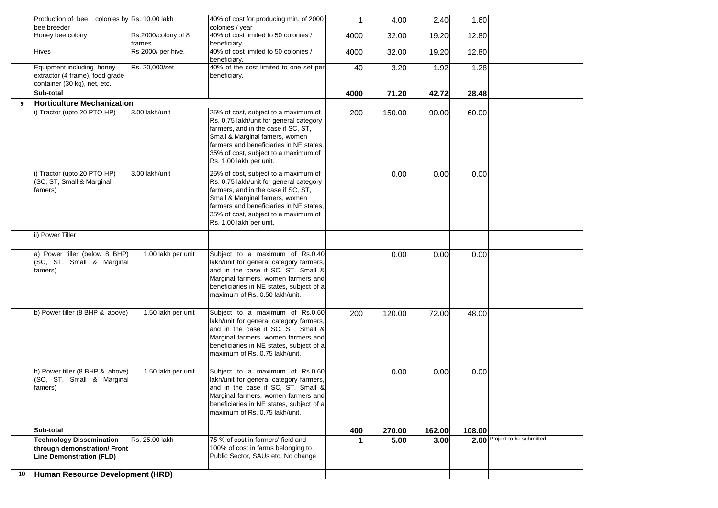|    | Production of bee colonies by Rs. 10.00 lakh<br>bee breeder |                     | 40% of cost for producing min. of 2000<br>colonies / year                 | 1    | 4.00   | 2.40   | 1.60   |                              |
|----|-------------------------------------------------------------|---------------------|---------------------------------------------------------------------------|------|--------|--------|--------|------------------------------|
|    | Honey bee colony                                            | Rs.2000/colony of 8 | 40% of cost limited to 50 colonies /                                      | 4000 | 32.00  | 19.20  | 12.80  |                              |
|    |                                                             | frames              | beneficiary.                                                              |      |        |        |        |                              |
|    | <b>Hives</b>                                                | Rs 2000/ per hive.  | 40% of cost limited to 50 colonies /<br>beneficiary.                      | 4000 | 32.00  | 19.20  | 12.80  |                              |
|    | Equipment including honey                                   | Rs. 20,000/set      | 40% of the cost limited to one set per                                    | 40   | 3.20   | 1.92   | 1.28   |                              |
|    | extractor (4 frame), food grade                             |                     | beneficiary.                                                              |      |        |        |        |                              |
|    | container (30 kg), net, etc.                                |                     |                                                                           |      |        |        |        |                              |
|    | Sub-total                                                   |                     |                                                                           | 4000 | 71.20  | 42.72  | 28.48  |                              |
| 9  | <b>Horticulture Mechanization</b>                           |                     |                                                                           |      |        |        |        |                              |
|    | i) Tractor (upto 20 PTO HP)                                 | 3.00 lakh/unit      | 25% of cost, subject to a maximum of                                      | 200  | 150.00 | 90.00  | 60.00  |                              |
|    |                                                             |                     | Rs. 0.75 lakh/unit for general category                                   |      |        |        |        |                              |
|    |                                                             |                     | farmers, and in the case if SC, ST,                                       |      |        |        |        |                              |
|    |                                                             |                     | Small & Marginal famers, women                                            |      |        |        |        |                              |
|    |                                                             |                     | farmers and beneficiaries in NE states,                                   |      |        |        |        |                              |
|    |                                                             |                     | 35% of cost, subject to a maximum of                                      |      |        |        |        |                              |
|    |                                                             |                     | Rs. 1.00 lakh per unit.                                                   |      |        |        |        |                              |
|    | i) Tractor (upto 20 PTO HP)                                 | 3.00 lakh/unit      | 25% of cost, subject to a maximum of                                      |      | 0.00   | 0.00   | 0.00   |                              |
|    | (SC, ST, Small & Marginal                                   |                     | Rs. 0.75 lakh/unit for general category                                   |      |        |        |        |                              |
|    | famers)                                                     |                     | farmers, and in the case if SC, ST,                                       |      |        |        |        |                              |
|    |                                                             |                     | Small & Marginal famers, women                                            |      |        |        |        |                              |
|    |                                                             |                     | farmers and beneficiaries in NE states.                                   |      |        |        |        |                              |
|    |                                                             |                     | 35% of cost, subject to a maximum of<br>Rs. 1.00 lakh per unit.           |      |        |        |        |                              |
|    |                                                             |                     |                                                                           |      |        |        |        |                              |
|    | ii) Power Tiller                                            |                     |                                                                           |      |        |        |        |                              |
|    |                                                             |                     |                                                                           |      |        |        |        |                              |
|    | a) Power tiller (below 8 BHP)                               | 1.00 lakh per unit  | Subject to a maximum of Rs.0.40                                           |      | 0.00   | 0.00   | 0.00   |                              |
|    | (SC, ST, Small & Marginal                                   |                     | lakh/unit for general category farmers,                                   |      |        |        |        |                              |
|    | famers)                                                     |                     | and in the case if SC, ST, Small &<br>Marginal farmers, women farmers and |      |        |        |        |                              |
|    |                                                             |                     | beneficiaries in NE states, subject of a                                  |      |        |        |        |                              |
|    |                                                             |                     | maximum of Rs. 0.50 lakh/unit.                                            |      |        |        |        |                              |
|    |                                                             |                     |                                                                           |      |        |        |        |                              |
|    | b) Power tiller (8 BHP & above)                             | 1.50 lakh per unit  | Subject to a maximum of Rs.0.60                                           | 200  | 120.00 | 72.00  | 48.00  |                              |
|    |                                                             |                     | lakh/unit for general category farmers,                                   |      |        |        |        |                              |
|    |                                                             |                     | and in the case if SC, ST, Small &                                        |      |        |        |        |                              |
|    |                                                             |                     | Marginal farmers, women farmers and                                       |      |        |        |        |                              |
|    |                                                             |                     | beneficiaries in NE states, subject of a                                  |      |        |        |        |                              |
|    |                                                             |                     | maximum of Rs. 0.75 lakh/unit.                                            |      |        |        |        |                              |
|    | b) Power tiller (8 BHP & above)                             | 1.50 lakh per unit  | Subject to a maximum of Rs.0.60                                           |      |        |        |        |                              |
|    | (SC, ST, Small & Marginal                                   |                     | lakh/unit for general category farmers,                                   |      | 0.00   | 0.00   | 0.00   |                              |
|    | famers)                                                     |                     | and in the case if SC, ST, Small &                                        |      |        |        |        |                              |
|    |                                                             |                     | Marginal farmers, women farmers and                                       |      |        |        |        |                              |
|    |                                                             |                     | beneficiaries in NE states, subject of a                                  |      |        |        |        |                              |
|    |                                                             |                     | maximum of Rs. 0.75 lakh/unit.                                            |      |        |        |        |                              |
|    |                                                             |                     |                                                                           |      |        |        |        |                              |
|    | Sub-total                                                   |                     |                                                                           | 400  | 270.00 | 162.00 | 108.00 |                              |
|    | <b>Technology Dissemination</b>                             | Rs. 25.00 lakh      | 75 % of cost in farmers' field and                                        |      | 5.00   | 3.00   |        | 2.00 Project to be submitted |
|    | through demonstration/ Front                                |                     | 100% of cost in farms belonging to<br>Public Sector, SAUs etc. No change  |      |        |        |        |                              |
|    | <b>Line Demonstration (FLD)</b>                             |                     |                                                                           |      |        |        |        |                              |
| 10 | Human Resource Development (HRD)                            |                     |                                                                           |      |        |        |        |                              |
|    |                                                             |                     |                                                                           |      |        |        |        |                              |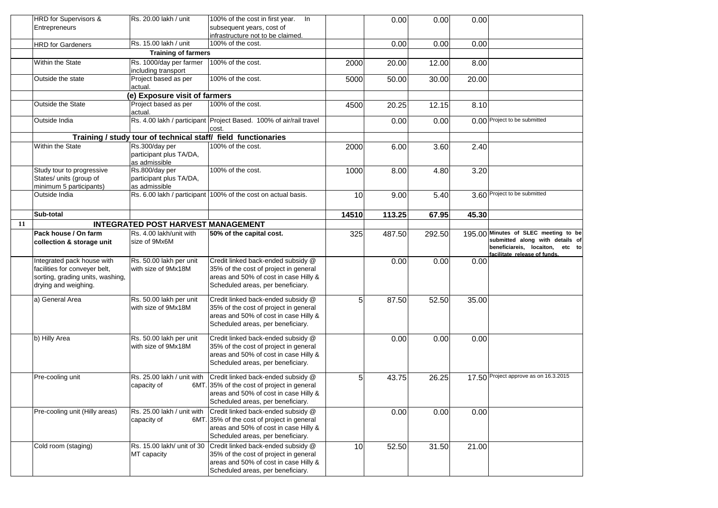|    | HRD for Supervisors &                                                                                                   | Rs. 20.00 lakh / unit                                         | 100% of the cost in first year. In                                                                                                                             |                | 0.00   | 0.00   | 0.00  |                                                                                                                                               |
|----|-------------------------------------------------------------------------------------------------------------------------|---------------------------------------------------------------|----------------------------------------------------------------------------------------------------------------------------------------------------------------|----------------|--------|--------|-------|-----------------------------------------------------------------------------------------------------------------------------------------------|
|    | Entrepreneurs                                                                                                           |                                                               | subsequent years, cost of                                                                                                                                      |                |        |        |       |                                                                                                                                               |
|    |                                                                                                                         |                                                               | infrastructure not to be claimed.                                                                                                                              |                |        |        |       |                                                                                                                                               |
|    | <b>HRD</b> for Gardeners                                                                                                | Rs. 15.00 lakh / unit                                         | 100% of the cost.                                                                                                                                              |                | 0.00   | 0.00   | 0.00  |                                                                                                                                               |
|    |                                                                                                                         | <b>Training of farmers</b>                                    |                                                                                                                                                                |                |        |        |       |                                                                                                                                               |
|    | Within the State                                                                                                        | Rs. 1000/day per farmer<br>including transport                | 100% of the cost.                                                                                                                                              | 2000           | 20.00  | 12.00  | 8.00  |                                                                                                                                               |
|    | Outside the state                                                                                                       | Project based as per<br>actual.                               | 100% of the cost.                                                                                                                                              | 5000           | 50.00  | 30.00  | 20.00 |                                                                                                                                               |
|    |                                                                                                                         | (e) Exposure visit of farmers                                 |                                                                                                                                                                |                |        |        |       |                                                                                                                                               |
|    | <b>Outside the State</b>                                                                                                | Project based as per<br>actual.                               | 100% of the cost.                                                                                                                                              | 4500           | 20.25  | 12.15  | 8.10  |                                                                                                                                               |
|    | Outside India                                                                                                           |                                                               | Rs. 4.00 lakh / participant Project Based. 100% of air/rail travel<br>cost.                                                                                    |                | 0.00   | 0.00   |       | 0.00 Project to be submitted                                                                                                                  |
|    |                                                                                                                         | Training / study tour of technical staff/ field functionaries |                                                                                                                                                                |                |        |        |       |                                                                                                                                               |
|    | Within the State                                                                                                        | Rs.300/day per<br>participant plus TA/DA,<br>as admissible    | 100% of the cost.                                                                                                                                              | 2000           | 6.00   | 3.60   | 2.40  |                                                                                                                                               |
|    | Study tour to progressive<br>States/ units (group of<br>minimum 5 participants)                                         | Rs.800/day per<br>participant plus TA/DA,<br>as admissible    | 100% of the cost.                                                                                                                                              | 1000           | 8.00   | 4.80   | 3.20  |                                                                                                                                               |
|    | Outside India                                                                                                           |                                                               | Rs. 6.00 lakh / participant 100% of the cost on actual basis.                                                                                                  | 10             | 9.00   | 5.40   |       | 3.60 Project to be submitted                                                                                                                  |
|    | Sub-total                                                                                                               |                                                               |                                                                                                                                                                | 14510          | 113.25 | 67.95  | 45.30 |                                                                                                                                               |
| 11 |                                                                                                                         | <b>INTEGRATED POST HARVEST MANAGEMENT</b>                     |                                                                                                                                                                |                |        |        |       |                                                                                                                                               |
|    | Pack house / On farm<br>collection & storage unit                                                                       | Rs. 4.00 lakh/unit with<br>size of 9Mx6M                      | 50% of the capital cost.                                                                                                                                       | 325            | 487.50 | 292.50 |       | 195.00 Minutes of SLEC meeting to be<br>submitted along with details of<br>beneficiareis, locaiton,<br>etc to<br>facilitate release of funds. |
|    | Integrated pack house with<br>facilities for conveyer belt,<br>sorting, grading units, washing,<br>drying and weighing. | Rs. 50.00 lakh per unit<br>with size of 9Mx18M                | Credit linked back-ended subsidy @<br>35% of the cost of project in general<br>areas and 50% of cost in case Hilly &<br>Scheduled areas, per beneficiary.      |                | 0.00   | 0.00   | 0.00  |                                                                                                                                               |
|    | a) General Area                                                                                                         | Rs. 50.00 lakh per unit<br>with size of 9Mx18M                | Credit linked back-ended subsidy @<br>35% of the cost of project in general<br>areas and 50% of cost in case Hilly &<br>Scheduled areas, per beneficiary.      | 5 <sub>l</sub> | 87.50  | 52.50  | 35.00 |                                                                                                                                               |
|    | b) Hilly Area                                                                                                           | Rs. 50.00 lakh per unit<br>with size of 9Mx18M                | Credit linked back-ended subsidy @<br>35% of the cost of project in general<br>areas and 50% of cost in case Hilly &<br>Scheduled areas, per beneficiary.      |                | 0.00   | 0.00   | 0.00  |                                                                                                                                               |
|    | Pre-cooling unit                                                                                                        | Rs. 25.00 lakh / unit with<br>capacity of                     | Credit linked back-ended subsidy @<br>6MT. 35% of the cost of project in general<br>areas and 50% of cost in case Hilly &<br>Scheduled areas, per beneficiary. | 5 <sub>l</sub> | 43.75  | 26.25  |       | 17.50 Project approve as on 16.3.2015                                                                                                         |
|    | Pre-cooling unit (Hilly areas)                                                                                          | Rs. 25.00 lakh / unit with<br>capacity of                     | Credit linked back-ended subsidy @<br>6MT. 35% of the cost of project in general<br>areas and 50% of cost in case Hilly &<br>Scheduled areas, per beneficiary. |                | 0.00   | 0.00   | 0.00  |                                                                                                                                               |
|    | Cold room (staging)                                                                                                     | Rs. 15.00 lakh/ unit of 30<br>MT capacity                     | Credit linked back-ended subsidy @<br>35% of the cost of project in general<br>areas and 50% of cost in case Hilly &<br>Scheduled areas, per beneficiary.      | 10             | 52.50  | 31.50  | 21.00 |                                                                                                                                               |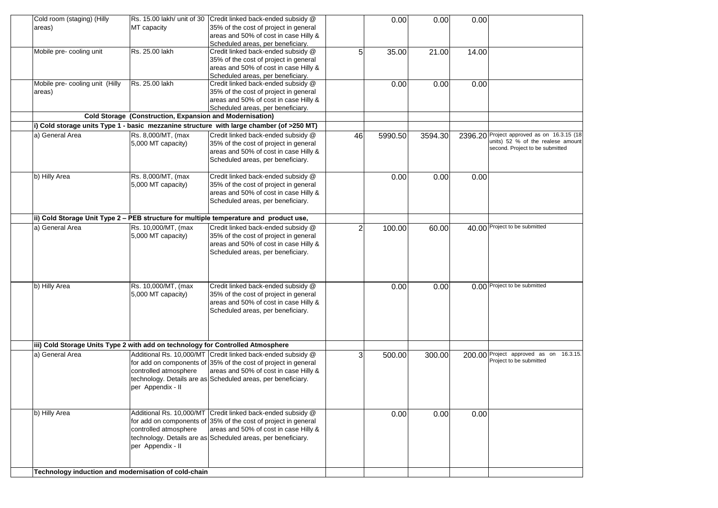| Cold room (staging) (Hilly                                                      |                                                          | Rs. 15.00 lakh/ unit of 30 Credit linked back-ended subsidy @                            |                | 0.00    | 0.00    | 0.00    |                                                                         |
|---------------------------------------------------------------------------------|----------------------------------------------------------|------------------------------------------------------------------------------------------|----------------|---------|---------|---------|-------------------------------------------------------------------------|
| areas)                                                                          | MT capacity                                              | 35% of the cost of project in general                                                    |                |         |         |         |                                                                         |
|                                                                                 |                                                          | areas and 50% of cost in case Hilly &                                                    |                |         |         |         |                                                                         |
|                                                                                 |                                                          | Scheduled areas, per beneficiary.                                                        |                |         |         |         |                                                                         |
| Mobile pre- cooling unit                                                        | Rs. 25.00 lakh                                           | Credit linked back-ended subsidy @                                                       | 5 <sub>l</sub> | 35.00   | 21.00   | 14.00   |                                                                         |
|                                                                                 |                                                          | 35% of the cost of project in general                                                    |                |         |         |         |                                                                         |
|                                                                                 |                                                          | areas and 50% of cost in case Hilly &                                                    |                |         |         |         |                                                                         |
|                                                                                 |                                                          | Scheduled areas, per beneficiary.                                                        |                |         |         |         |                                                                         |
| Mobile pre- cooling unit (Hilly                                                 | Rs. 25.00 lakh                                           | Credit linked back-ended subsidy @                                                       |                | 0.00    | 0.00    | 0.00    |                                                                         |
| areas)                                                                          |                                                          | 35% of the cost of project in general                                                    |                |         |         |         |                                                                         |
|                                                                                 |                                                          | areas and 50% of cost in case Hilly &                                                    |                |         |         |         |                                                                         |
|                                                                                 |                                                          | Scheduled areas, per beneficiary.                                                        |                |         |         |         |                                                                         |
|                                                                                 | Cold Storage (Construction, Expansion and Modernisation) |                                                                                          |                |         |         |         |                                                                         |
|                                                                                 |                                                          | i) Cold storage units Type 1 - basic mezzanine structure with large chamber (of >250 MT) |                |         |         |         |                                                                         |
|                                                                                 |                                                          |                                                                                          |                |         |         |         |                                                                         |
| a) General Area                                                                 | Rs. 8,000/MT, (max                                       | Credit linked back-ended subsidy @                                                       | 46             | 5990.50 | 3594.30 | 2396.20 | Project approved as on 16.3.15 (18<br>units) 52 % of the realese amount |
|                                                                                 | 5,000 MT capacity)                                       | 35% of the cost of project in general                                                    |                |         |         |         | second. Project to be submitted                                         |
|                                                                                 |                                                          | areas and 50% of cost in case Hilly &                                                    |                |         |         |         |                                                                         |
|                                                                                 |                                                          | Scheduled areas, per beneficiary.                                                        |                |         |         |         |                                                                         |
|                                                                                 |                                                          |                                                                                          |                |         |         |         |                                                                         |
| b) Hilly Area                                                                   | Rs. 8,000/MT, (max                                       | Credit linked back-ended subsidy @                                                       |                | 0.00    | 0.00    | 0.00    |                                                                         |
|                                                                                 | 5,000 MT capacity)                                       | 35% of the cost of project in general                                                    |                |         |         |         |                                                                         |
|                                                                                 |                                                          | areas and 50% of cost in case Hilly &                                                    |                |         |         |         |                                                                         |
|                                                                                 |                                                          | Scheduled areas, per beneficiary.                                                        |                |         |         |         |                                                                         |
|                                                                                 |                                                          |                                                                                          |                |         |         |         |                                                                         |
|                                                                                 |                                                          | ii) Cold Storage Unit Type 2 - PEB structure for multiple temperature and product use,   |                |         |         |         |                                                                         |
| a) General Area                                                                 | Rs. 10,000/MT, (max                                      | Credit linked back-ended subsidy @                                                       | 2              | 100.00  | 60.00   |         | 40.00 Project to be submitted                                           |
|                                                                                 | 5,000 MT capacity)                                       | 35% of the cost of project in general                                                    |                |         |         |         |                                                                         |
|                                                                                 |                                                          | areas and 50% of cost in case Hilly &                                                    |                |         |         |         |                                                                         |
|                                                                                 |                                                          | Scheduled areas, per beneficiary.                                                        |                |         |         |         |                                                                         |
|                                                                                 |                                                          |                                                                                          |                |         |         |         |                                                                         |
|                                                                                 |                                                          |                                                                                          |                |         |         |         |                                                                         |
|                                                                                 |                                                          |                                                                                          |                |         |         |         |                                                                         |
| b) Hilly Area                                                                   | Rs. 10,000/MT, (max                                      | Credit linked back-ended subsidy @                                                       |                | 0.00    | 0.00    |         | 0.00 Project to be submitted                                            |
|                                                                                 | 5,000 MT capacity)                                       | 35% of the cost of project in general                                                    |                |         |         |         |                                                                         |
|                                                                                 |                                                          | areas and 50% of cost in case Hilly &                                                    |                |         |         |         |                                                                         |
|                                                                                 |                                                          |                                                                                          |                |         |         |         |                                                                         |
|                                                                                 |                                                          | Scheduled areas, per beneficiary.                                                        |                |         |         |         |                                                                         |
|                                                                                 |                                                          |                                                                                          |                |         |         |         |                                                                         |
|                                                                                 |                                                          |                                                                                          |                |         |         |         |                                                                         |
|                                                                                 |                                                          |                                                                                          |                |         |         |         |                                                                         |
| iii) Cold Storage Units Type 2 with add on technology for Controlled Atmosphere |                                                          |                                                                                          |                |         |         |         |                                                                         |
| a) General Area                                                                 |                                                          | Additional Rs. 10,000/MT Credit linked back-ended subsidy @                              | 3              | 500.00  | 300.00  |         | 200.00 Project approved as on 16.3.15.                                  |
|                                                                                 |                                                          | for add on components of 35% of the cost of project in general                           |                |         |         |         | Project to be submitted                                                 |
|                                                                                 | controlled atmosphere                                    | areas and 50% of cost in case Hilly &                                                    |                |         |         |         |                                                                         |
|                                                                                 |                                                          | technology. Details are as Scheduled areas, per beneficiary.                             |                |         |         |         |                                                                         |
|                                                                                 | per Appendix - II                                        |                                                                                          |                |         |         |         |                                                                         |
|                                                                                 |                                                          |                                                                                          |                |         |         |         |                                                                         |
|                                                                                 |                                                          |                                                                                          |                |         |         |         |                                                                         |
| b) Hilly Area                                                                   |                                                          | Additional Rs. 10,000/MT Credit linked back-ended subsidy @                              |                | 0.00    | 0.00    | 0.00    |                                                                         |
|                                                                                 |                                                          | for add on components of 35% of the cost of project in general                           |                |         |         |         |                                                                         |
|                                                                                 | controlled atmosphere                                    | areas and 50% of cost in case Hilly &                                                    |                |         |         |         |                                                                         |
|                                                                                 |                                                          | technology. Details are as Scheduled areas, per beneficiary.                             |                |         |         |         |                                                                         |
|                                                                                 | per Appendix - II                                        |                                                                                          |                |         |         |         |                                                                         |
|                                                                                 |                                                          |                                                                                          |                |         |         |         |                                                                         |
|                                                                                 |                                                          |                                                                                          |                |         |         |         |                                                                         |
|                                                                                 |                                                          |                                                                                          |                |         |         |         |                                                                         |
| Technology induction and modernisation of cold-chain                            |                                                          |                                                                                          |                |         |         |         |                                                                         |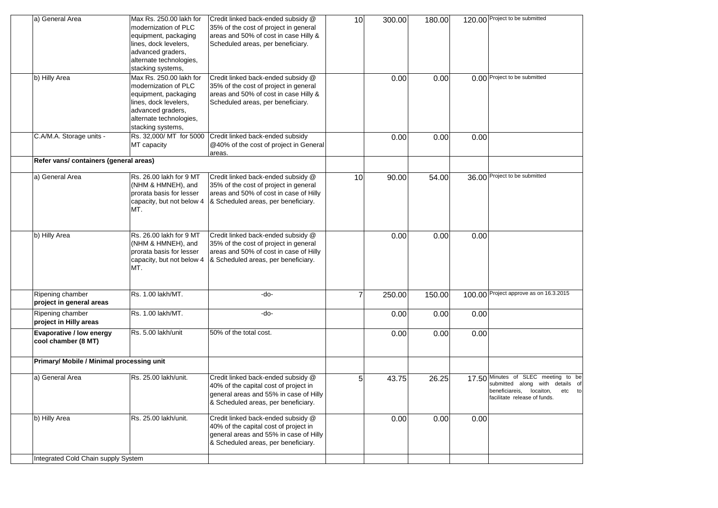| a) General Area                                 | Max Rs. 250.00 lakh for<br>modernization of PLC<br>equipment, packaging<br>lines, dock levelers,<br>advanced graders,<br>alternate technologies,<br>stacking systems, | Credit linked back-ended subsidy @<br>35% of the cost of project in general<br>areas and 50% of cost in case Hilly &<br>Scheduled areas, per beneficiary.    | 10 | 300.00 | 180.00 |      | 120.00 Project to be submitted                                                                                                               |
|-------------------------------------------------|-----------------------------------------------------------------------------------------------------------------------------------------------------------------------|--------------------------------------------------------------------------------------------------------------------------------------------------------------|----|--------|--------|------|----------------------------------------------------------------------------------------------------------------------------------------------|
| b) Hilly Area                                   | Max Rs. 250.00 lakh for<br>modernization of PLC<br>equipment, packaging<br>lines, dock levelers,<br>advanced graders,<br>alternate technologies,<br>stacking systems, | Credit linked back-ended subsidy @<br>35% of the cost of project in general<br>areas and 50% of cost in case Hilly &<br>Scheduled areas, per beneficiary.    |    | 0.00   | 0.00   |      | 0.00 Project to be submitted                                                                                                                 |
| C.A/M.A. Storage units -                        | Rs. 32,000/ MT for 5000<br>MT capacity                                                                                                                                | Credit linked back-ended subsidy<br>@40% of the cost of project in General<br>areas.                                                                         |    | 0.00   | 0.00   | 0.00 |                                                                                                                                              |
| Refer vans/ containers (general areas)          |                                                                                                                                                                       |                                                                                                                                                              |    |        |        |      |                                                                                                                                              |
| a) General Area                                 | Rs. 26.00 lakh for 9 MT<br>(NHM & HMNEH), and<br>prorata basis for lesser<br>capacity, but not below 4<br>MT.                                                         | Credit linked back-ended subsidy @<br>35% of the cost of project in general<br>areas and 50% of cost in case of Hilly<br>& Scheduled areas, per beneficiary. | 10 | 90.00  | 54.00  |      | 36.00 Project to be submitted                                                                                                                |
| b) Hilly Area                                   | Rs. 26.00 lakh for 9 MT<br>(NHM & HMNEH), and<br>prorata basis for lesser<br>capacity, but not below 4<br>MT.                                                         | Credit linked back-ended subsidy @<br>35% of the cost of project in general<br>areas and 50% of cost in case of Hilly<br>& Scheduled areas, per beneficiary. |    | 0.00   | 0.00   | 0.00 |                                                                                                                                              |
| Ripening chamber<br>project in general areas    | Rs. 1.00 lakh/MT.                                                                                                                                                     | -do-                                                                                                                                                         |    | 250.00 | 150.00 |      | 100.00 Project approve as on 16.3.2015                                                                                                       |
| Ripening chamber<br>project in Hilly areas      | Rs. 1.00 lakh/MT.                                                                                                                                                     | -do-                                                                                                                                                         |    | 0.00   | 0.00   | 0.00 |                                                                                                                                              |
| Evaporative / low energy<br>cool chamber (8 MT) | Rs. 5.00 lakh/unit                                                                                                                                                    | 50% of the total cost.                                                                                                                                       |    | 0.00   | 0.00   | 0.00 |                                                                                                                                              |
| Primary/ Mobile / Minimal processing unit       |                                                                                                                                                                       |                                                                                                                                                              |    |        |        |      |                                                                                                                                              |
| a) General Area                                 | Rs. 25.00 lakh/unit.                                                                                                                                                  | Credit linked back-ended subsidy @<br>40% of the capital cost of project in<br>general areas and 55% in case of Hilly<br>& Scheduled areas, per beneficiary. | 5  | 43.75  | 26.25  |      | 17.50 Minutes of SLEC meeting to be<br>submitted along with details of<br>beneficiareis, locaiton,<br>etc to<br>facilitate release of funds. |
| b) Hilly Area                                   | Rs. 25.00 lakh/unit.                                                                                                                                                  | Credit linked back-ended subsidy @<br>40% of the capital cost of project in<br>general areas and 55% in case of Hilly<br>& Scheduled areas, per beneficiary. |    | 0.00   | 0.00   | 0.00 |                                                                                                                                              |
| Integrated Cold Chain supply System             |                                                                                                                                                                       |                                                                                                                                                              |    |        |        |      |                                                                                                                                              |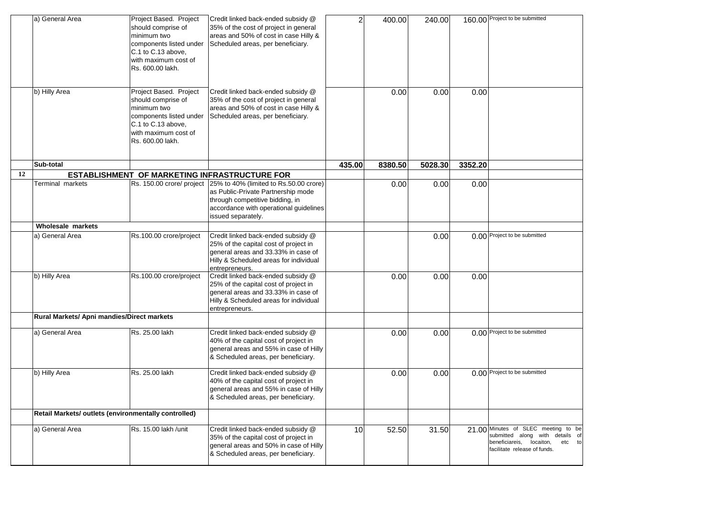|    | a) General Area                                      | Project Based. Project<br>should comprise of<br>minimum two<br>components listed under<br>C.1 to C.13 above,<br>with maximum cost of<br>Rs. 600.00 lakh. | Credit linked back-ended subsidy @<br>35% of the cost of project in general<br>areas and 50% of cost in case Hilly &<br>Scheduled areas, per beneficiary.                                                 | $\overline{2}$  | 400.00  | 240.00  |         | 160.00 Project to be submitted                                                                                                               |
|----|------------------------------------------------------|----------------------------------------------------------------------------------------------------------------------------------------------------------|-----------------------------------------------------------------------------------------------------------------------------------------------------------------------------------------------------------|-----------------|---------|---------|---------|----------------------------------------------------------------------------------------------------------------------------------------------|
|    | b) Hilly Area                                        | Project Based. Project<br>should comprise of<br>minimum two<br>components listed under<br>C.1 to C.13 above,<br>with maximum cost of<br>Rs. 600.00 lakh. | Credit linked back-ended subsidy @<br>35% of the cost of project in general<br>areas and 50% of cost in case Hilly &<br>Scheduled areas, per beneficiary.                                                 |                 | 0.00    | 0.00    | 0.00    |                                                                                                                                              |
|    | Sub-total                                            |                                                                                                                                                          |                                                                                                                                                                                                           | 435.00          | 8380.50 | 5028.30 | 3352.20 |                                                                                                                                              |
| 12 |                                                      |                                                                                                                                                          | ESTABLISHMENT OF MARKETING INFRASTRUCTURE FOR                                                                                                                                                             |                 |         |         |         |                                                                                                                                              |
|    | Terminal markets                                     |                                                                                                                                                          | Rs. 150.00 crore/ project 25% to 40% (limited to Rs.50.00 crore)<br>as Public-Private Partnership mode<br>through competitive bidding, in<br>accordance with operational guidelines<br>issued separately. |                 | 0.00    | 0.00    | 0.00    |                                                                                                                                              |
|    | Wholesale markets                                    |                                                                                                                                                          |                                                                                                                                                                                                           |                 |         |         |         |                                                                                                                                              |
|    | a) General Area                                      | Rs.100.00 crore/project                                                                                                                                  | Credit linked back-ended subsidy @<br>25% of the capital cost of project in<br>general areas and 33.33% in case of<br>Hilly & Scheduled areas for individual<br>entrepreneurs.                            |                 |         | 0.00    |         | 0.00 Project to be submitted                                                                                                                 |
|    | b) Hilly Area                                        | Rs.100.00 crore/project                                                                                                                                  | Credit linked back-ended subsidy @<br>25% of the capital cost of project in<br>general areas and 33.33% in case of<br>Hilly & Scheduled areas for individual<br>entrepreneurs.                            |                 | 0.00    | 0.00    | 0.00    |                                                                                                                                              |
|    | Rural Markets/ Apni mandies/Direct markets           |                                                                                                                                                          |                                                                                                                                                                                                           |                 |         |         |         |                                                                                                                                              |
|    | a) General Area                                      | Rs. 25.00 lakh                                                                                                                                           | Credit linked back-ended subsidy @<br>40% of the capital cost of project in<br>general areas and 55% in case of Hilly<br>& Scheduled areas, per beneficiary.                                              |                 | 0.00    | 0.00    |         | 0.00 Project to be submitted                                                                                                                 |
|    | b) Hilly Area                                        | Rs. 25.00 lakh                                                                                                                                           | Credit linked back-ended subsidy @<br>40% of the capital cost of project in<br>general areas and 55% in case of Hilly<br>& Scheduled areas, per beneficiary.                                              |                 | 0.00    | 0.00    |         | 0.00 Project to be submitted                                                                                                                 |
|    | Retail Markets/ outlets (environmentally controlled) |                                                                                                                                                          |                                                                                                                                                                                                           |                 |         |         |         |                                                                                                                                              |
|    | a) General Area                                      | Rs. 15.00 lakh /unit                                                                                                                                     | Credit linked back-ended subsidy @<br>35% of the capital cost of project in<br>general areas and 50% in case of Hilly<br>& Scheduled areas, per beneficiary.                                              | 10 <sup>1</sup> | 52.50   | 31.50   |         | 21.00 Minutes of SLEC meeting to be<br>submitted along with details of<br>beneficiareis, locaiton,<br>etc to<br>facilitate release of funds. |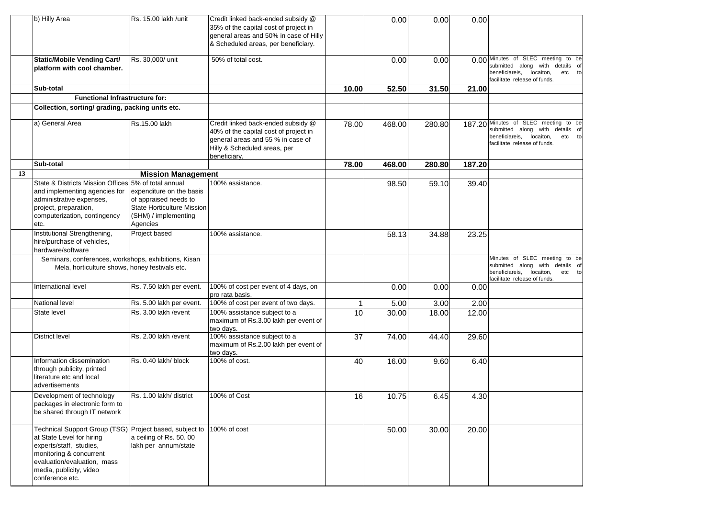|    | b) Hilly Area                                                                                                                                                                                                           | Rs. 15.00 lakh /unit                                                                                                | Credit linked back-ended subsidy @<br>35% of the capital cost of project in<br>general areas and 50% in case of Hilly<br>& Scheduled areas, per beneficiary.     |       | 0.00   | 0.00   | 0.00   |                                                                                                                                                   |
|----|-------------------------------------------------------------------------------------------------------------------------------------------------------------------------------------------------------------------------|---------------------------------------------------------------------------------------------------------------------|------------------------------------------------------------------------------------------------------------------------------------------------------------------|-------|--------|--------|--------|---------------------------------------------------------------------------------------------------------------------------------------------------|
|    | <b>Static/Mobile Vending Cart/</b><br>platform with cool chamber.                                                                                                                                                       | Rs. 30,000/ unit                                                                                                    | 50% of total cost.                                                                                                                                               |       | 0.00   | 0.00   |        | 0.00 Minutes of SLEC meeting to be<br>submitted along with details of<br>beneficiareis,<br>locaiton,<br>etc<br>ta<br>facilitate release of funds. |
|    | Sub-total                                                                                                                                                                                                               |                                                                                                                     |                                                                                                                                                                  | 10.00 | 52.50  | 31.50  | 21.00  |                                                                                                                                                   |
|    | <b>Functional Infrastructure for:</b><br>Collection, sorting/ grading, packing units etc.                                                                                                                               |                                                                                                                     |                                                                                                                                                                  |       |        |        |        |                                                                                                                                                   |
|    |                                                                                                                                                                                                                         |                                                                                                                     |                                                                                                                                                                  |       |        |        |        |                                                                                                                                                   |
|    | a) General Area                                                                                                                                                                                                         | Rs.15.00 lakh                                                                                                       | Credit linked back-ended subsidy @<br>40% of the capital cost of project in<br>general areas and 55 % in case of<br>Hilly & Scheduled areas, per<br>beneficiary. | 78.00 | 468.00 | 280.80 |        | 187.20 Minutes of SLEC meeting to be<br>submitted along with details of<br>beneficiareis,<br>locaiton,<br>etc to<br>facilitate release of funds.  |
|    | Sub-total                                                                                                                                                                                                               |                                                                                                                     |                                                                                                                                                                  | 78.00 | 468.00 | 280.80 | 187.20 |                                                                                                                                                   |
| 13 |                                                                                                                                                                                                                         | <b>Mission Management</b>                                                                                           |                                                                                                                                                                  |       |        |        |        |                                                                                                                                                   |
|    | State & Districts Mission Offices 5% of total annual<br>and implementing agencies for<br>administrative expenses,<br>project, preparation,<br>computerization, contingency<br>etc.                                      | expenditure on the basis<br>of appraised needs to<br>State Horticulture Mission<br>(SHM) / implementing<br>Agencies | 100% assistance.                                                                                                                                                 |       | 98.50  | 59.10  | 39.40  |                                                                                                                                                   |
|    | Institutional Strengthening,<br>hire/purchase of vehicles,<br>hardware/software                                                                                                                                         | Project based                                                                                                       | 100% assistance.                                                                                                                                                 |       | 58.13  | 34.88  | 23.25  |                                                                                                                                                   |
|    | Seminars, conferences, workshops, exhibitions, Kisan<br>Mela, horticulture shows, honey festivals etc.                                                                                                                  |                                                                                                                     |                                                                                                                                                                  |       |        |        |        | Minutes of SLEC meeting to be<br>submitted along with details of<br>beneficiareis, locaiton,<br>etc to<br>facilitate release of funds.            |
|    | International level                                                                                                                                                                                                     | Rs. 7.50 lakh per event.                                                                                            | 100% of cost per event of 4 days, on<br>pro rata basis.                                                                                                          |       | 0.00   | 0.00   | 0.00   |                                                                                                                                                   |
|    | National level                                                                                                                                                                                                          | Rs. 5.00 lakh per event.                                                                                            | 100% of cost per event of two days.                                                                                                                              |       | 5.00   | 3.00   | 2.00   |                                                                                                                                                   |
|    | State level                                                                                                                                                                                                             | Rs. 3.00 lakh / event                                                                                               | 100% assistance subject to a<br>maximum of Rs.3.00 lakh per event of<br>two days.                                                                                | 10    | 30.00  | 18.00  | 12.00  |                                                                                                                                                   |
|    | <b>District level</b>                                                                                                                                                                                                   | Rs. 2.00 lakh / event                                                                                               | 100% assistance subject to a<br>maximum of Rs.2.00 lakh per event of<br>two days.                                                                                | 37    | 74.00  | 44.40  | 29.60  |                                                                                                                                                   |
|    | Information dissemination<br>through publicity, printed<br>literature etc and local<br>advertisements                                                                                                                   | Rs. 0.40 lakh/ block                                                                                                | 100% of cost.                                                                                                                                                    | 40    | 16.00  | 9.60   | 6.40   |                                                                                                                                                   |
|    | Development of technology<br>packages in electronic form to<br>be shared through IT network                                                                                                                             | Rs. 1.00 lakh/ district                                                                                             | 100% of Cost                                                                                                                                                     | 16    | 10.75  | 6.45   | 4.30   |                                                                                                                                                   |
|    | Technical Support Group (TSG) Project based, subject to<br>at State Level for hiring<br>experts/staff, studies,<br>monitoring & concurrent<br>evaluation/evaluation, mass<br>media, publicity, video<br>conference etc. | a ceiling of Rs. 50.00<br>lakh per annum/state                                                                      | 100% of cost                                                                                                                                                     |       | 50.00  | 30.00  | 20.00  |                                                                                                                                                   |